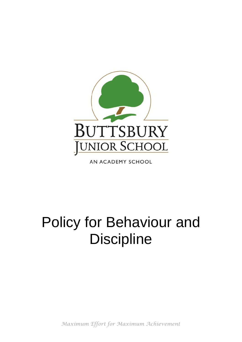

AN ACADEMY SCHOOL

# Policy for Behaviour and **Discipline**

*Maximum Effort for Maximum Achievement*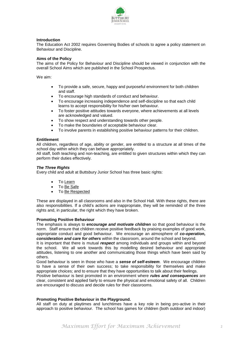

#### **Introduction**

The Education Act 2002 requires Governing Bodies of schools to agree a policy statement on Behaviour and Discipline.

#### **Aims of the Policy**

The aims of the Policy for Behaviour and Discipline should be viewed in conjunction with the overall School Aims which are published in the School Prospectus.

We aim:

- To provide a safe, secure, happy and purposeful environment for both children and staff.
- To encourage high standards of conduct and behaviour.
- To encourage increasing independence and self-discipline so that each child learns to accept responsibility for his/her own behaviour.
- To foster positive attitudes towards everyone, where achievements at all levels are acknowledged and valued.
- To show respect and understanding towards other people.
- To make the boundaries of acceptable behaviour clear.
- To involve parents in establishing positive behaviour patterns for their children.

#### **Entitlement**

All children, regardless of age, ability or gender, are entitled to a structure at all times of the school day within which they can behave appropriately.

All staff, both teaching and non-teaching, are entitled to given structures within which they can perform their duties effectively.

#### *The Three Rights*

Every child and adult at Buttsbury Junior School has three basic rights:

- To Learn
- To Be Safe
- To Be Respected

These are displayed in all classrooms and also in the School Hall. With these rights, there are also responsibilities. If a child's actions are inappropriate, they will be reminded of the three rights and, in particular, the right which they have broken.

#### **Promoting Positive Behaviour**

The emphasis is always to *encourage and motivate children* so that good behaviour is the norm. Staff ensure that children receive positive feedback by praising examples of good work, appropriate conduct and good behaviour. We encourage an atmosphere of *co-operation, consideration and care for others* within the classroom, around the school and beyond.

It is important that there is mutual *respect* among individuals and groups within and beyond the school. We all work towards this by modelling desired behaviour and appropriate attitudes, listening to one another and communicating those things which have been said by others.

Good behaviour is seen in those who have a *sense of self-esteem*. We encourage children to have a sense of their own success; to take responsibility for themselves and make appropriate choices; and to ensure that they have opportunities to talk about their feelings.

Positive behaviour is best promoted in an environment where *rules and consequences* are clear, consistent and applied fairly to ensure the physical and emotional safety of all. Children are encouraged to discuss and decide rules for their classrooms.

#### **Promoting Positive Behaviour in the Playground.**

All staff on duty at playtimes and lunchtimes have a key role in being pro-active in their approach to positive behaviour. The school has games for children (both outdoor and indoor)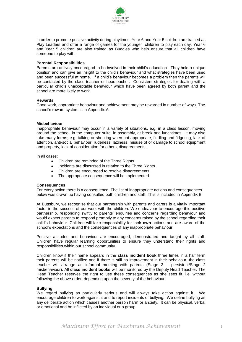

in order to promote positive activity during playtimes. Year 6 and Year 5 children are trained as Play Leaders and offer a range of games for the younger children to play each day. Year 6 and Year 5 children are also trained as Buddies who help ensure that all children have someone to play with.

#### **Parental Responsibilities**

Parents are actively encouraged to be involved in their child's education. They hold a unique position and can give an insight to the child's behaviour and what strategies have been used and been successful at home. If a child's behaviour becomes a problem then the parents will be contacted by the class teacher or headteacher. Consistent strategies for dealing with a particular child's unacceptable behaviour which have been agreed by both parent and the school are more likely to work.

#### **Rewards**

Good work, appropriate behaviour and achievement may be rewarded in number of ways. The school's reward system is in Appendix A.

#### **Misbehaviour**

Inappropriate behaviour may occur in a variety of situations, e.g. in a class lesson, moving around the school, in the cpmputer suite, in assembly, at break and lunchtimes. It may also take many forms; e.g. talking or shouting when not appropriate, fiddling and fidgeting, lack of attention, anti-social behaviour, rudeness, laziness, misuse of or damage to school equipment and property, lack of consideration for others, disagreements.

In all cases:

- Children are reminded of the Three Rights.
- Incidents are discussed in relation to the Three Rights.
- Children are encouraged to resolve disagreements.
- The appropriate consequence will be implemented.

#### **Consequences**

For every action there is a consequence. The list of inappropriate actions and consequences below was drawn up having consulted both children and staff. This is included in Appendix B.

At Buttsbury, we recognise that our partnership with parents and carers is a vitally important factor in the success of our work with the children. We endeavour to encourage this positive partnership, responding swiftly to parents' enquiries and concerns regarding behaviour and would expect parents to respond promptly to any concerns raised by the school regarding their child's behaviour. Children will take responsibility for their **own** actions and are aware of the school's expectations and the consequences of any inappropriate behaviour.

Positive attitudes and behaviour are encouraged, demonstrated and taught by all staff. Children have regular learning opportunities to ensure they understand their rights and responsibilities within our school community.

Children know if their name appears in the **class incident book** three times in a half term their parents will be notified and if there is still no improvement in their behaviour, the class teacher will arrange an informal meeting with parents (Stage 3 – persistent/Stage 2 misbehaviour). All **class incident books** will be monitored by the Deputy Head Teacher. The Head Teacher reserves the right to use these consequences as she sees fit, i.e. without following the above order, depending upon the severity of the behaviour.

#### **Bullying**

We regard bullying as particularly serious and will always take action against it. We encourage children to work against it and to report incidents of bullying. We define bullying as any deliberate action which causes another person harm or anxiety. It can be physical, verbal or emotional and be inflicted by an individual or a group.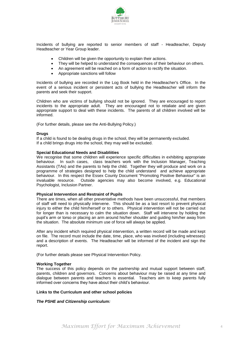

Incidents of bullying are reported to senior members of staff - Headteacher, Deputy Headteacher or Year Group leader.

- Children will be given the opportunity to explain their actions.
- They will be helped to understand the consequences of their behaviour on others.
- An agreement will be reached on a form of action to rectify the situation.
- Appropriate sanctions will follow

Incidents of bullying are recorded in the Log Book held in the Headteacher's Office. In the event of a serious incident or persistent acts of bullying the Headteacher will inform the parents and seek their support.

Children who are victims of bullying should not be ignored. They are encouraged to report incidents to the appropriate adult. They are encouraged not to retaliate and are given appropriate support to deal with these incidents. The parents of all children involved will be informed.

(For further details, please see the Anti-Bullying Policy.)

#### **Drugs**

If a child is found to be dealing drugs in the school, they will be permanently excluded. If a child brings drugs into the school, they may well be excluded.

#### **Special Educational Needs and Disabliities**

We recognise that some children will experience specific difficulties in exhibiting appropriate behaviour. In such cases, class teachers work with the Inclusion Manager, Teaching Assistants (TAs) and the parents to help the child. Together they will produce and work on a programme of strategies designed to help the child understand and achieve appropriate behaviour. In this respect the Essex County Document "Promoting Positive Behaviour" is an invaluable resource. Outside agencies may also become involved, e.g. Educational Psychologist, Inclusion Partner.

#### **Physical Intervention and Restraint of Pupils**

There are times, when all other preventative methods have been unsuccessful, that members of staff will need to physically intervene. This should be as a last resort to prevent physical injury to either the child him/herself or to others. Physical intervention will not be carried out for longer than is necessary to calm the situation down. Staff will intervene by holding the pupil's arm or torso or placing an arm around his/her shoulder and guiding him/her away from the situation. The absolute minimum use of force will always be applied.

After any incident which required physical intervention, a written record will be made and kept on file. The record must include the date, time, place, who was involved (including witnesses) and a description of events. The Headteacher will be informed of the incident and sign the report.

(For further details please see Physical Intervention Policy.

#### **Working Together**

The success of this policy depends on the partnership and mutual support between staff, parents, children and governors. Concerns about behaviour may be raised at any time and dialogue between parents and teachers is essential. Teachers aim to keep parents fully informed over concerns they have about their child's behaviour.

#### **Links to the Curriculum and other school policies**

#### *The PSHE and Citizenship curriculum:*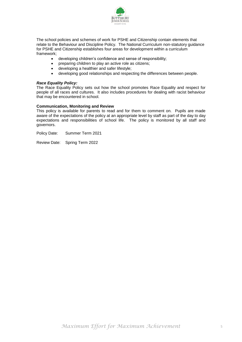

The school policies and schemes of work for PSHE and Citizenship contain elements that relate to the Behaviour and Discipline Policy. The National Curriculum non-statutory guidance for PSHE and Citizenship establishes four areas for development within a curriculum framework;

- developing children's confidence and sense of responsibility;
- preparing children to play an active role as citizens;
- developing a healthier and safer lifestyle;
- developing good relationships and respecting the differences between people.

#### *Race Equality Policy:*

The Race Equality Policy sets out how the school promotes Race Equality and respect for people of all races and cultures. It also includes procedures for dealing with racist behaviour that may be encountered in school.

#### **Communication, Monitoring and Review**

This policy is available for parents to read and for them to comment on. Pupils are made aware of the expectations of the policy at an appropriate level by staff as part of the day to day expectations and responsibilities of school life. The policy is monitored by all staff and governors.

Policy Date: Summer Term 2021

Review Date: Spring Term 2022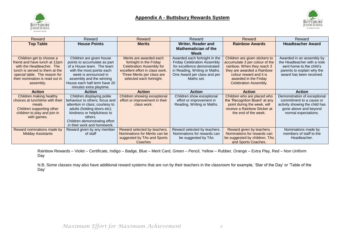



| Reward                          | Reward                          | Reward                                 | Reward                             | Reward                                               | Reward                         |
|---------------------------------|---------------------------------|----------------------------------------|------------------------------------|------------------------------------------------------|--------------------------------|
| <b>Top Table</b>                | <b>House Points</b>             | <b>Merits</b>                          | Writer, Reader and                 | <b>Rainbow Awards</b>                                | <b>Headteacher Award</b>       |
|                                 |                                 |                                        | <b>Mathematician of the</b>        |                                                      |                                |
|                                 |                                 |                                        | Week                               |                                                      |                                |
| Children get to choose a        | Children are given house        | Merits are awarded each                | Awarded each fortnight in the      | Children are given stickers to                       | Awarded in an assembly by      |
| friend and have lunch at 12pm   | points to accumulate as part    | fortnight in the Friday                | <b>Friday Celebration Assembly</b> | accumulate 3 per colour of the                       | the Headteacher with a note    |
| with the Headteacher. The       | of a House team. The team       | <b>Celebration Assembly for</b>        | for excellence demonstrated        | rainbow. When they reach 3                           | sent home to the child's       |
| lunch is served to them at the  | with the most points each       | excellent effort in class work.        | in Reading, Writing or Maths.      | they are awarded a Rainbow                           | parents to explain why the     |
| special table. The reason for   | week is announced in            | Three Merits per class are             | One Award per class and per        | colour reward and it is                              | award has been received.       |
| their nomination is read out in | assembly and the winning        | selected each fortnight.               | Maths set.                         | awarded in the Friday                                |                                |
| assembly.                       | House each half term have 20    |                                        |                                    | Celebration Assembly.                                |                                |
|                                 | minutes extra playtime.         |                                        |                                    |                                                      |                                |
|                                 |                                 |                                        |                                    |                                                      |                                |
| <b>Action</b>                   | <b>Action</b>                   | <b>Action</b>                          | <b>Action</b>                      | <b>Action</b>                                        | <b>Action</b>                  |
| Children making healthy         | Children displaying polite      | <b>Children showing exceptional</b>    | Children show exceptional          | Children who are placed who                          | Demonstration of exceptional   |
| choices at lunchtime with their | behaviour to others; focus and  | effort or improvement in their         | effort or improvement in           | the 'Recogntion Board' at any                        | commitment to a cause or       |
| meals.                          | attention in class; courtesy to | class work.                            | Reading, Writing or Maths.         | point during the week, will                          | activity showing the child has |
| Children supporting other       | adults (holding doors etc);     |                                        |                                    | receive a Rainbow Sticker at                         | gone above and beyond          |
| children to play and join in    | kindness or helpfulness to      |                                        |                                    | the end of the week.                                 | normal expectations.           |
| with games.                     | others.                         |                                        |                                    |                                                      |                                |
|                                 | Children demonstrating effort   |                                        |                                    |                                                      |                                |
|                                 | in their work and homework.     |                                        |                                    |                                                      |                                |
| Reward nominations made by      | Reward given by any member      | Reward selected by teachers.           | Reward selected by teachers.       | Reward given by teachers.                            | Nominations made by            |
| <b>Midday Assistants</b>        | of staff                        | Nominations for Merits can be          | Nominations for rewards can        | Nominations for rewards can                          | members of staff to the        |
|                                 |                                 | suggested by TAs and Sports<br>Coaches | be suggested by TAs                | be suggested by children, TAs<br>and Sports Coaches. | Headteacher.                   |

Rainbow Rewards – Violet – Certificate, Indigo – Badge, Blue – Merit Card, Green – Pencil, Yellow – Rubber, Orange – Extra Play, Red – Non Uniform Day

N.B. Some classes may also have additional reward systems that are run by their teachers in the classroom for example, 'Star of the Day' or 'Table of the Day'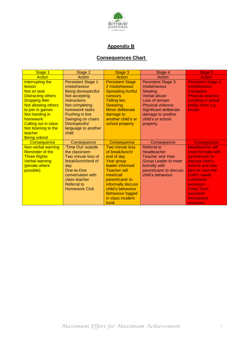

## **Appendix B**

# **Consequences Chart**

| Stage 1                                                                                                                                                                                                                                            | Stage 2                                                                                                                                                                                                                                | Stage 3                                                                                                                                                                                                                                            | Stage 4                                                                                                                                                                                                           | Stage 5                                                                                                                                                                                                                           |
|----------------------------------------------------------------------------------------------------------------------------------------------------------------------------------------------------------------------------------------------------|----------------------------------------------------------------------------------------------------------------------------------------------------------------------------------------------------------------------------------------|----------------------------------------------------------------------------------------------------------------------------------------------------------------------------------------------------------------------------------------------------|-------------------------------------------------------------------------------------------------------------------------------------------------------------------------------------------------------------------|-----------------------------------------------------------------------------------------------------------------------------------------------------------------------------------------------------------------------------------|
| <b>Action</b>                                                                                                                                                                                                                                      | Action                                                                                                                                                                                                                                 | Action                                                                                                                                                                                                                                             | Action                                                                                                                                                                                                            | <b>Action</b>                                                                                                                                                                                                                     |
| Interrupting the<br><b>lesson</b><br>Not on task<br><b>Distracting others</b><br><b>Dropping litter</b><br>Not allowing others<br>to join in games<br>Not handing in<br>homework<br><b>Calling out in class</b><br>Not listening to the<br>teacher | <b>Persistent Stage 1</b><br>misbehaviour<br>Being disrespectful<br>Not accepting<br>instructions<br>Not completing<br>homework tasks<br>Pushing in line<br>Swinging on chairs<br><b>Disrespectful</b><br>language to another<br>child | <b>Persistent Stage</b><br>2 misbehaviour<br><b>Spreading hurtful</b><br><b>rumours</b><br><b>Telling lies</b><br><b>Swearing</b><br><b>Minor deliberate</b><br>damage to<br>another child's or<br>school property                                 | <b>Persistent Stage 3</b><br>misbehaviour<br><b>Stealing</b><br><b>Verbal abuse</b><br>Loss of temper<br><b>Physical violence</b><br>Significant deliberate<br>damage to another<br>child's or school<br>property | <b>Persistent Stage 4</b><br>misbehaviour<br>Vandalism<br><b>Physical violence</b><br>resulting in actual<br>bodily harm e.g.<br>bruise.                                                                                          |
| <b>Being unkind</b><br>Consequence                                                                                                                                                                                                                 | Consequence                                                                                                                                                                                                                            | Consequence                                                                                                                                                                                                                                        | Consequence                                                                                                                                                                                                       | <b>Consequence</b>                                                                                                                                                                                                                |
| Non-verbal warning<br><b>Reminder of the</b><br><b>Three Rights</b><br><b>Verbal warning</b><br>(private where<br>possible)                                                                                                                        | 'Time Out' outside<br>the classroom<br>Two minute loss of<br>break/lunch/end of<br>day<br>One-to-One<br>conversation with<br>class teacher<br><b>Referral to</b><br><b>Homework Club</b>                                               | <b>Two minute loss</b><br>of break/lunch/<br>end of day<br>Year group<br>leader informed<br><b>Teacher will</b><br>meet/call<br>parent/carer to<br>informally discuss<br>child's behaviour<br><b>Behaviour logged</b><br>in class incident<br>book | <b>Referral</b> to<br>Headteacher<br><b>Teacher and Year</b><br><b>Group Leader to meet</b><br>formally with<br>parent/carer to discuss<br>child's behaviour                                                      | <b>Headteacher will</b><br>meet formally with<br>parent/carer to<br>discuss child's<br>actions and how<br>best to meet the<br>child's needs<br>Lunchtime<br>exclusion<br><b>Fixed Term</b><br>exclusion<br>Permanent<br>exclusion |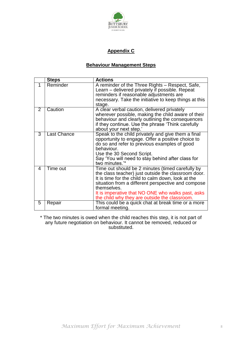

## **Appendix C**

## **Behaviour Management Steps**

|                | <b>Steps</b>       | <b>Actions</b>                                                                                                                                                                                                                                                                                                                           |
|----------------|--------------------|------------------------------------------------------------------------------------------------------------------------------------------------------------------------------------------------------------------------------------------------------------------------------------------------------------------------------------------|
| 1              | Reminder           | A reminder of the Three Rights - Respect, Safe,<br>Learn – delivered privately if possible. Repeat<br>reminders if reasonable adjustments are<br>necessary. Take the initiative to keep things at this<br>stage.                                                                                                                         |
| $\overline{2}$ | Caution            | A clear verbal caution, delivered privately<br>wherever possible, making the child aware of their<br>behaviour and clearly outlining the consequences<br>if they continue. Use the phrase 'Think carefully<br>about your next step.'                                                                                                     |
| 3              | <b>Last Chance</b> | Speak to the child privately and give them a final<br>opportunity to engage. Offer a positive choice to<br>do so and refer to previous examples of good<br>behaviour.<br>Use the 30 Second Script.<br>Say 'You will need to stay behind after class for<br>two minutes."*                                                                |
| 4              | Time out           | Time out should be 2 minutes (timed carefully by<br>the class teacher) just outside the classroom door.<br>It is time for the child to calm down, look at the<br>situation from a different perspective and compose<br>themselves.<br>It is imperative that NO ONE who walks past, asks<br>the child why they are outside the classroom. |
| 5              | Repair             | This could be a quick chat at break time or a more<br>formal meeting.                                                                                                                                                                                                                                                                    |

\* The two minutes is owed when the child reaches this step, it is not part of any future negotiation on behaviour. It cannot be removed, reduced or substituted.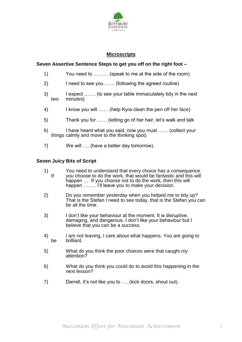

## **Microscripts**

## **Seven Assertive Sentence Steps to get you off on the right foot –**

- 1) You need to ……… (speak to me at the side of the room)
- 2) I need to see you …… (following the agreed routine)
- 3) I expect ……. (to see your table immaculately tidy in the next minutes)
- 4) I know you will …… (help Kyra clean the pen off her face)
- 5) Thank you for …… (letting go of her hair, let's walk and talk
- 6) I have heard what you said, now you must …… (collect your things calmly and move to the thinking spot)
- 7) We will …. (have a better day tomorrow).

### **Seven Juicy Bits of Script**

- 1) You need to understand that every choice has a consequence.<br>If you choose to do the work, that would be fantastic and this will you choose to do the work, that would be fantastic and this will happen … If you choose not to do the work, then this will happen ........ I'll leave you to make your decision.
- 2) Do you remember yesterday when you helped me to tidy up? That is the Stefan I need to see today, that is the Stefan you can be all the time.
- 3) I don't like your behaviour at the moment. It is disruptive, damaging, and dangerous. I don't like your behaviour but I believe that you can be a success.
- 4) I am not leaving, I care about what happens. You are going to be brilliant.
- 5) What do you think the poor choices were that caught my attention?
- 6) What do you think you could do to avoid this happening in the next lesson?
- 7) Darrell, it's not like you to …. (kick doors, shout out).